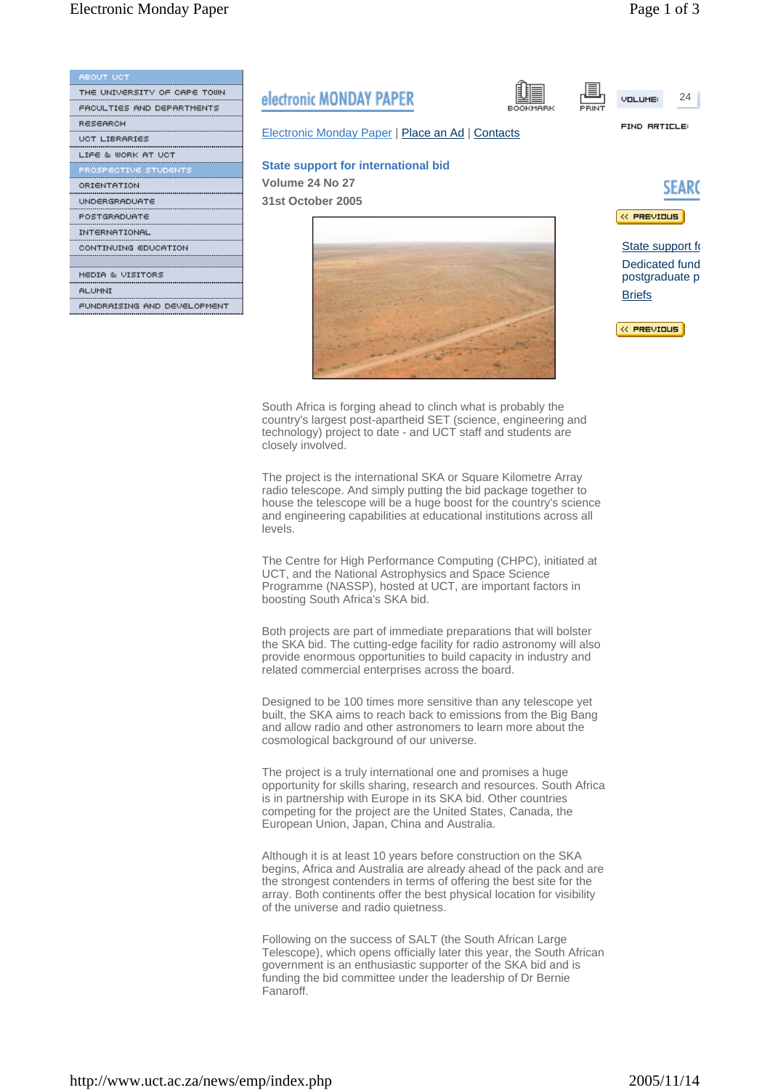**VOLUME** 

FIND RRTICLE:

| <b>ABOUT UCT</b>            |    |
|-----------------------------|----|
| THE UNIVERSITY OF CAPE TOWN |    |
| FACULTIES AND DEPARTMENTS   | eı |
| RESEARCH                    |    |
| <b>UCT LIBRARIES</b>        | E  |
| LIFE & WORK AT UCT          |    |
| PROSPECTIVE STUDENTS        | S  |
| ORIENTATION                 | v  |
| UNDERGRADUATE               | 3  |
| POSTGRADUATE                |    |
| INTERNATIONAL               |    |
| CONTINUING EDUCATION        |    |
|                             |    |
| MEDIA & VISITORS            |    |
| <b>ALUMNI</b>               |    |
| FUNDRAISING AND DEVELOPMENT |    |
|                             |    |

## lectronic MONDAY PAPER

**Electronic Monday Paper | Place an Ad | Contacts** 

## **State support for international bid**

**Volume 24 No 27 31st October 2005**





24

State support fo Dedicated fund postgraduate p **Briefs** 

« PREVIOUS

South Africa is forging ahead to clinch what is probably the country's largest post-apartheid SET (science, engineering and technology) project to date - and UCT staff and students are closely involved.

The project is the international SKA or Square Kilometre Array radio telescope. And simply putting the bid package together to house the telescope will be a huge boost for the country's science and engineering capabilities at educational institutions across all levels.

The Centre for High Performance Computing (CHPC), initiated at UCT, and the National Astrophysics and Space Science Programme (NASSP), hosted at UCT, are important factors in boosting South Africa's SKA bid.

Both projects are part of immediate preparations that will bolster the SKA bid. The cutting-edge facility for radio astronomy will also provide enormous opportunities to build capacity in industry and related commercial enterprises across the board.

Designed to be 100 times more sensitive than any telescope yet built, the SKA aims to reach back to emissions from the Big Bang and allow radio and other astronomers to learn more about the cosmological background of our universe.

The project is a truly international one and promises a huge opportunity for skills sharing, research and resources. South Africa is in partnership with Europe in its SKA bid. Other countries competing for the project are the United States, Canada, the European Union, Japan, China and Australia.

Although it is at least 10 years before construction on the SKA begins, Africa and Australia are already ahead of the pack and are the strongest contenders in terms of offering the best site for the array. Both continents offer the best physical location for visibility of the universe and radio quietness.

Following on the success of SALT (the South African Large Telescope), which opens officially later this year, the South African government is an enthusiastic supporter of the SKA bid and is funding the bid committee under the leadership of Dr Bernie Fanaroff.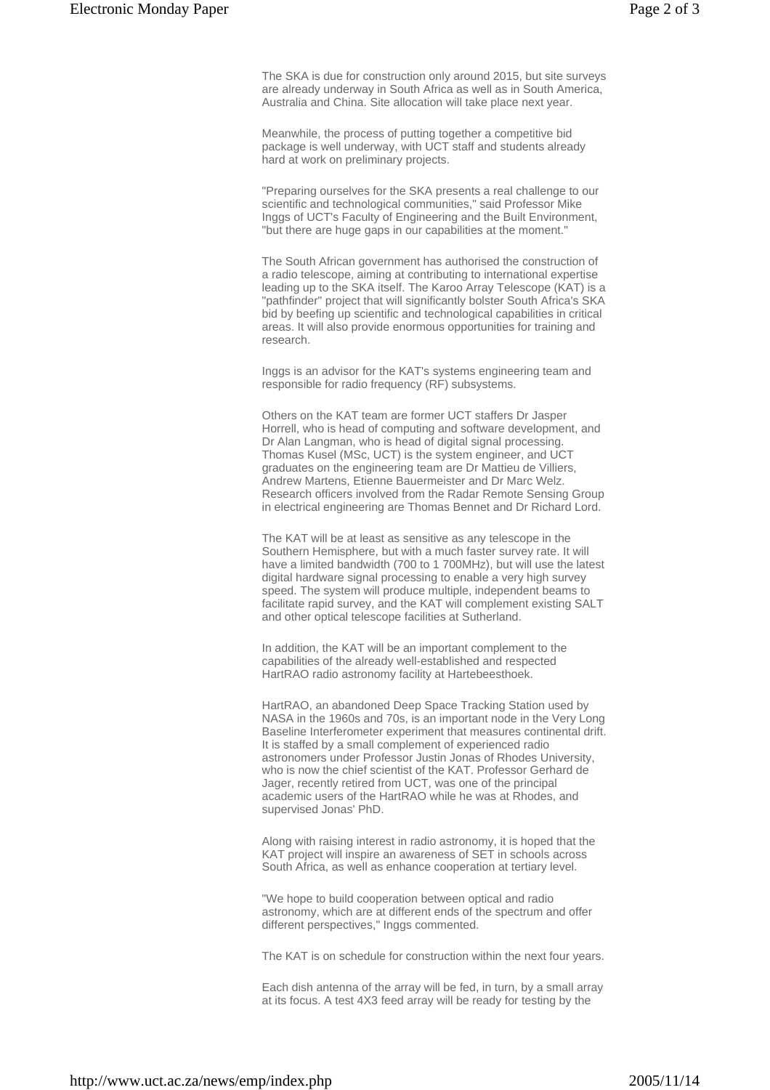The SKA is due for construction only around 2015, but site surveys are already underway in South Africa as well as in South America, Australia and China. Site allocation will take place next year.

Meanwhile, the process of putting together a competitive bid package is well underway, with UCT staff and students already hard at work on preliminary projects.

"Preparing ourselves for the SKA presents a real challenge to our scientific and technological communities," said Professor Mike Inggs of UCT's Faculty of Engineering and the Built Environment, "but there are huge gaps in our capabilities at the moment."

The South African government has authorised the construction of a radio telescope, aiming at contributing to international expertise leading up to the SKA itself. The Karoo Array Telescope (KAT) is a "pathfinder" project that will significantly bolster South Africa's SKA bid by beefing up scientific and technological capabilities in critical areas. It will also provide enormous opportunities for training and research.

Inggs is an advisor for the KAT's systems engineering team and responsible for radio frequency (RF) subsystems.

Others on the KAT team are former UCT staffers Dr Jasper Horrell, who is head of computing and software development, and Dr Alan Langman, who is head of digital signal processing. Thomas Kusel (MSc, UCT) is the system engineer, and UCT graduates on the engineering team are Dr Mattieu de Villiers, Andrew Martens, Etienne Bauermeister and Dr Marc Welz. Research officers involved from the Radar Remote Sensing Group in electrical engineering are Thomas Bennet and Dr Richard Lord.

The KAT will be at least as sensitive as any telescope in the Southern Hemisphere, but with a much faster survey rate. It will have a limited bandwidth (700 to 1 700MHz), but will use the latest digital hardware signal processing to enable a very high survey speed. The system will produce multiple, independent beams to facilitate rapid survey, and the KAT will complement existing SALT and other optical telescope facilities at Sutherland.

In addition, the KAT will be an important complement to the capabilities of the already well-established and respected HartRAO radio astronomy facility at Hartebeesthoek.

HartRAO, an abandoned Deep Space Tracking Station used by NASA in the 1960s and 70s, is an important node in the Very Long Baseline Interferometer experiment that measures continental drift. It is staffed by a small complement of experienced radio astronomers under Professor Justin Jonas of Rhodes University, who is now the chief scientist of the KAT. Professor Gerhard de Jager, recently retired from UCT, was one of the principal academic users of the HartRAO while he was at Rhodes, and supervised Jonas' PhD.

Along with raising interest in radio astronomy, it is hoped that the KAT project will inspire an awareness of SET in schools across South Africa, as well as enhance cooperation at tertiary level.

"We hope to build cooperation between optical and radio astronomy, which are at different ends of the spectrum and offer different perspectives," Inggs commented.

The KAT is on schedule for construction within the next four years.

Each dish antenna of the array will be fed, in turn, by a small array at its focus. A test 4X3 feed array will be ready for testing by the